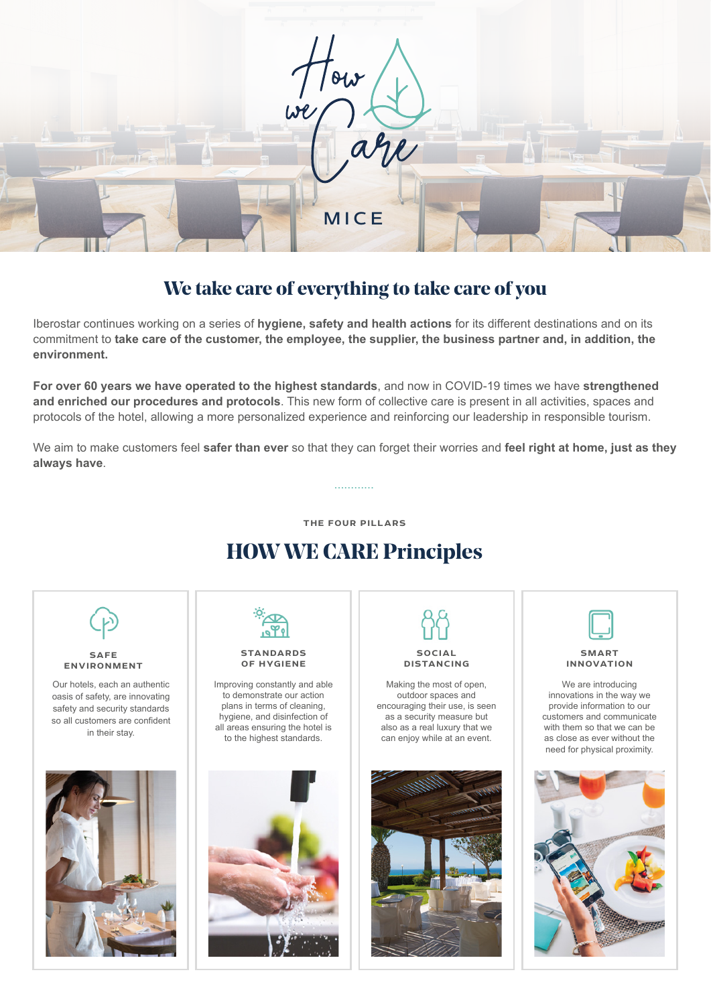

# **We take care of everything to take care of you**

Iberostar continues working on a series of **hygiene, safety and health actions** for its different destinations and on its commitment to **take care of the customer, the employee, the supplier, the business partner and, in addition, the environment.**

**For over 60 years we have operated to the highest standards**, and now in COVID-19 times we have **strengthened and enriched our procedures and protocols**. This new form of collective care is present in all activities, spaces and protocols of the hotel, allowing a more personalized experience and reinforcing our leadership in responsible tourism.

We aim to make customers feel **safer than ever** so that they can forget their worries and **feel right at home, just as they always have**.

**............**

**THE FOUR PILLARS**

# **HOW WE CARE Principles**

**SAFE ENVIRONMENT** 

Our hotels, each an authentic oasis of safety, are innovating safety and security standards so all customers are confident in their stay.





#### **STANDARDS OF HYGIENE**

Improving constantly and able to demonstrate our action plans in terms of cleaning, hygiene, and disinfection of all areas ensuring the hotel is to the highest standards.



**SOCIAL**

**DISTANCING**

Making the most of open, outdoor spaces and encouraging their use, is seen as a security measure but also as a real luxury that we can enjoy while at an event.





**SMART INNOVATION**

We are introducing innovations in the way we provide information to our customers and communicate with them so that we can be as close as ever without the need for physical proximity.